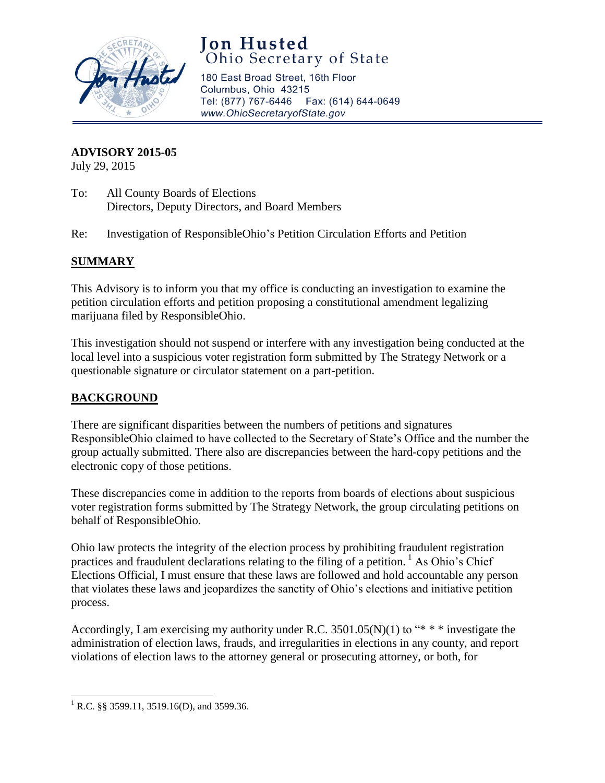

# **Jon Husted**<br>Ohio Secretary of State

180 East Broad Street, 16th Floor Columbus, Ohio 43215 Tel: (877) 767-6446 Fax: (614) 644-0649 www.OhioSecretaryofState.gov

#### **ADVISORY 2015-05**

July 29, 2015

- To: All County Boards of Elections Directors, Deputy Directors, and Board Members
- Re: Investigation of ResponsibleOhio's Petition Circulation Efforts and Petition

## **SUMMARY**

This Advisory is to inform you that my office is conducting an investigation to examine the petition circulation efforts and petition proposing a constitutional amendment legalizing marijuana filed by ResponsibleOhio.

This investigation should not suspend or interfere with any investigation being conducted at the local level into a suspicious voter registration form submitted by The Strategy Network or a questionable signature or circulator statement on a part-petition.

## **BACKGROUND**

There are significant disparities between the numbers of petitions and signatures ResponsibleOhio claimed to have collected to the Secretary of State's Office and the number the group actually submitted. There also are discrepancies between the hard-copy petitions and the electronic copy of those petitions.

These discrepancies come in addition to the reports from boards of elections about suspicious voter registration forms submitted by The Strategy Network, the group circulating petitions on behalf of ResponsibleOhio.

Ohio law protects the integrity of the election process by prohibiting fraudulent registration practices and fraudulent declarations relating to the filing of a petition.  $\frac{1}{1}$  As Ohio's Chief Elections Official, I must ensure that these laws are followed and hold accountable any person that violates these laws and jeopardizes the sanctity of Ohio's elections and initiative petition process.

Accordingly, I am exercising my authority under R.C.  $3501.05(N)(1)$  to "\* \* \* investigate the administration of election laws, frauds, and irregularities in elections in any county, and report violations of election laws to the attorney general or prosecuting attorney, or both, for

 $\overline{\phantom{a}}$ <sup>1</sup> R.C. §§ 3599.11, 3519.16(D), and 3599.36.